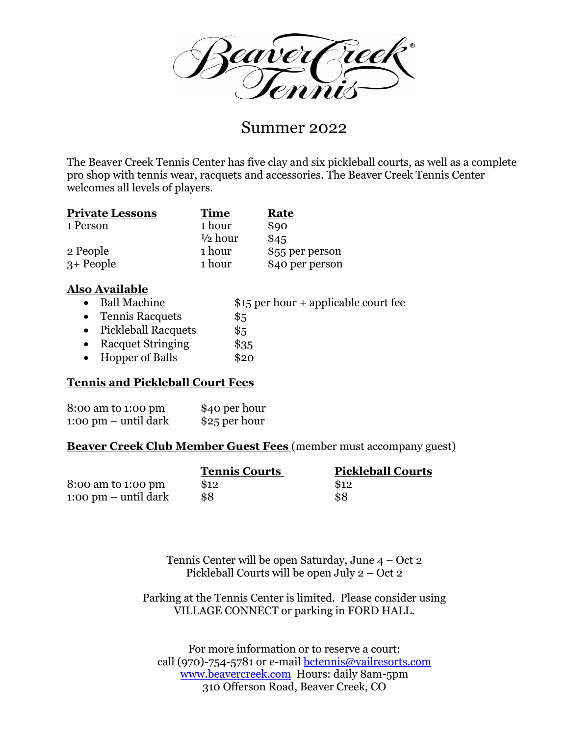Zeaver

# Summer 2022

The Beaver Creek Tennis Center has five clay and six pickleball courts, as well as a complete pro shop with tennis wear, racquets and accessories. The Beaver Creek Tennis Center welcomes all levels of players.

| <b>Private Lessons</b> | <b>Time</b>        | Rate            |
|------------------------|--------------------|-----------------|
| 1 Person               | 1 hour             | \$90            |
|                        | $\frac{1}{2}$ hour | \$45            |
| 2 People               | 1 hour             | \$55 per person |
| $3+$ People            | 1 hour             | \$40 per person |

# **Also Available**

- Ball Machine  $$15$  per hour + applicable court fee
- Tennis Racquets \$5
- Pickleball Racquets \$5
- Racquet Stringing \$35
- Hopper of Balls \$20

# **Tennis and Pickleball Court Fees**

| 8:00 am to 1:00 pm             | \$40 per hour |
|--------------------------------|---------------|
| $1:00 \text{ pm}$ – until dark | \$25 per hour |

# **Beaver Creek Club Member Guest Fees** (member must accompany guest)

|                                | <b>Tennis Courts</b> | <b>Pickleball Courts</b> |
|--------------------------------|----------------------|--------------------------|
| 8:00 am to 1:00 pm             | \$12                 | \$12                     |
| $1:00 \text{ pm}$ – until dark | \$8                  | \$8                      |

Tennis Center will be open Saturday, June 4 – Oct 2 Pickleball Courts will be open July 2 – Oct 2

Parking at the Tennis Center is limited. Please consider using VILLAGE CONNECT or parking in FORD HALL.

For more information or to reserve a court: call (970)-754-5781 or e-mail bctennis@vailresorts.com [www.beavercreek.com](http://www.beavercreek.com/) Hours: daily 8am-5pm 310 Offerson Road, Beaver Creek, CO